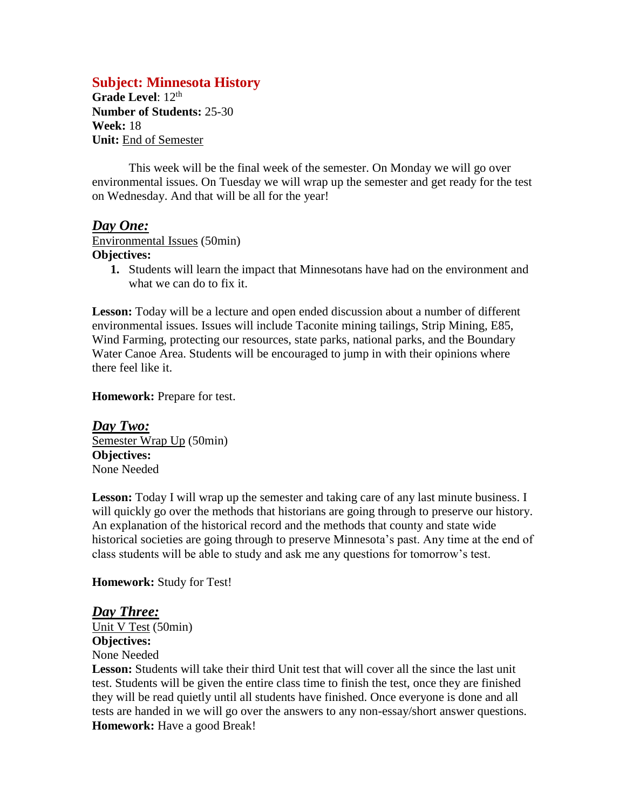# **Subject: Minnesota History**

Grade Level: 12<sup>th</sup> **Number of Students:** 25-30 **Week:** 18 **Unit:** End of Semester

This week will be the final week of the semester. On Monday we will go over environmental issues. On Tuesday we will wrap up the semester and get ready for the test on Wednesday. And that will be all for the year!

## *Day One:*

Environmental Issues (50min)

#### **Objectives:**

**1.** Students will learn the impact that Minnesotans have had on the environment and what we can do to fix it.

Lesson: Today will be a lecture and open ended discussion about a number of different environmental issues. Issues will include Taconite mining tailings, Strip Mining, E85, Wind Farming, protecting our resources, state parks, national parks, and the Boundary Water Canoe Area. Students will be encouraged to jump in with their opinions where there feel like it.

**Homework:** Prepare for test.

*Day Two:* Semester Wrap Up (50min) **Objectives:** None Needed

**Lesson:** Today I will wrap up the semester and taking care of any last minute business. I will quickly go over the methods that historians are going through to preserve our history. An explanation of the historical record and the methods that county and state wide historical societies are going through to preserve Minnesota's past. Any time at the end of class students will be able to study and ask me any questions for tomorrow's test.

### **Homework:** Study for Test!

## *Day Three:*

Unit V Test (50min) **Objectives:**

None Needed

**Lesson:** Students will take their third Unit test that will cover all the since the last unit test. Students will be given the entire class time to finish the test, once they are finished they will be read quietly until all students have finished. Once everyone is done and all tests are handed in we will go over the answers to any non-essay/short answer questions. **Homework:** Have a good Break!